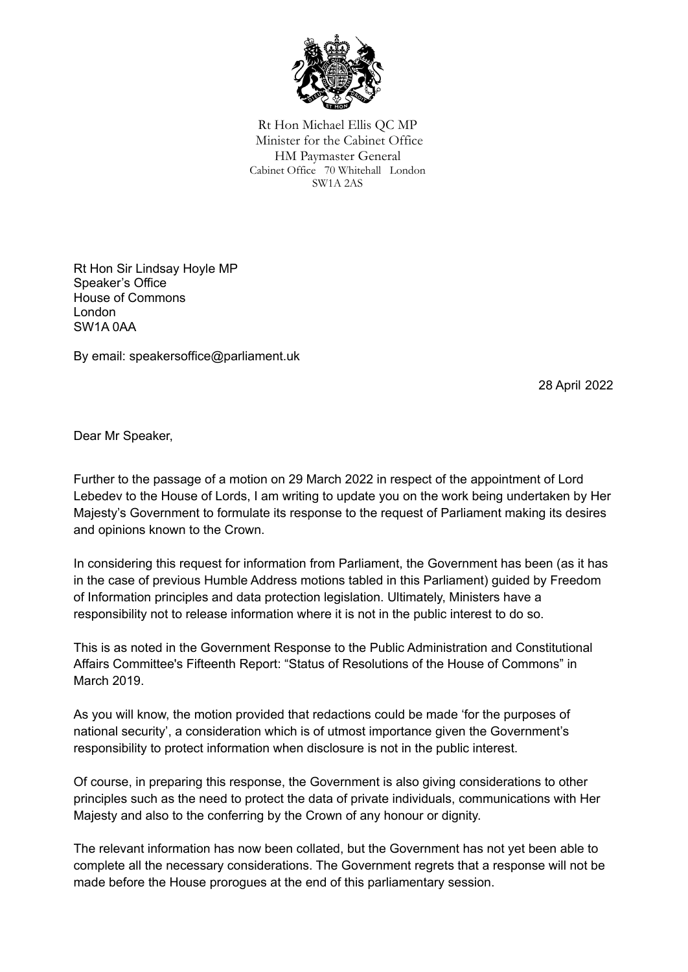

Rt Hon Michael Ellis QC MP Minister for the Cabinet Office HM Paymaster General Cabinet Office 70 Whitehall London SW1A 2AS

Rt Hon Sir Lindsay Hoyle MP Speaker's Office House of Commons London SW1A 0AA

By email: speakersoffice@parliament.uk

28 April 2022

Dear Mr Speaker,

Further to the passage of a motion on 29 March 2022 in respect of the appointment of Lord Lebedev to the House of Lords, I am writing to update you on the work being undertaken by Her Majesty's Government to formulate its response to the request of Parliament making its desires and opinions known to the Crown.

In considering this request for information from Parliament, the Government has been (as it has in the case of previous Humble Address motions tabled in this Parliament) guided by Freedom of Information principles and data protection legislation. Ultimately, Ministers have a responsibility not to release information where it is not in the public interest to do so.

This is as noted in the Government Response to the Public Administration and Constitutional Affairs Committee's Fifteenth Report: "Status of Resolutions of the House of Commons" in March 2019.

As you will know, the motion provided that redactions could be made 'for the purposes of national security', a consideration which is of utmost importance given the Government's responsibility to protect information when disclosure is not in the public interest.

Of course, in preparing this response, the Government is also giving considerations to other principles such as the need to protect the data of private individuals, communications with Her Majesty and also to the conferring by the Crown of any honour or dignity.

The relevant information has now been collated, but the Government has not yet been able to complete all the necessary considerations. The Government regrets that a response will not be made before the House prorogues at the end of this parliamentary session.